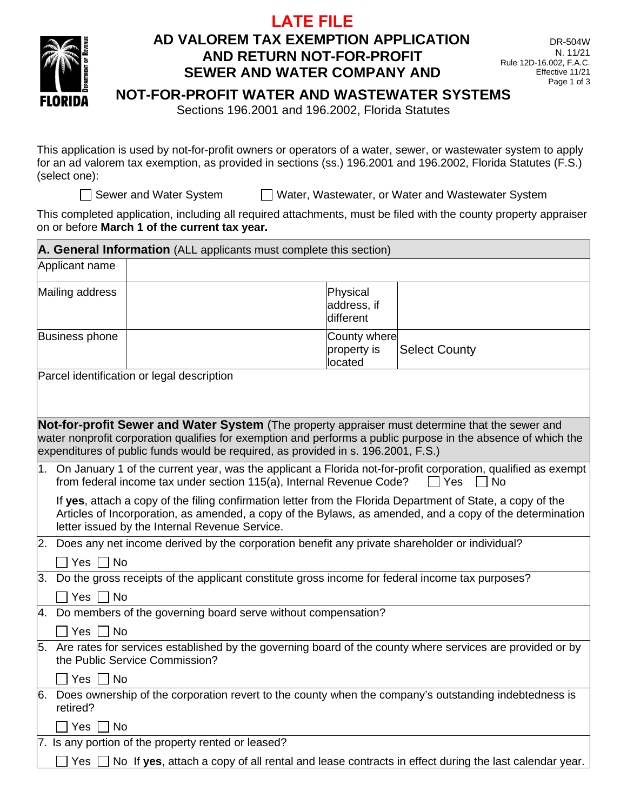



## **AD VALOREM TAX EXEMPTION APPLICATION AND RETURN NOT-FOR-PROFIT SEWER AND WATER COMPANY AND**

## **NOT-FOR-PROFIT WATER AND WASTEWATER SYSTEMS**

Sections 196.2001 and 196.2002, Florida Statutes

This application is used by not-for-profit owners or operators of a water, sewer, or wastewater system to apply for an ad valorem tax exemption, as provided in sections (ss.) 196.2001 and 196.2002, Florida Statutes (F.S.) (select one):

□ Sewer and Water System ■ Nater, Wastewater, or Water and Wastewater System

This completed application, including all required attachments, must be filed with the county property appraiser on or before **March 1 of the current tax year.**

| A. General Information (ALL applicants must complete this section)                                                                                                                                                                                                                                    |                                                                                                                                                                                                                                                                           |                                        |                      |  |  |  |  |  |  |
|-------------------------------------------------------------------------------------------------------------------------------------------------------------------------------------------------------------------------------------------------------------------------------------------------------|---------------------------------------------------------------------------------------------------------------------------------------------------------------------------------------------------------------------------------------------------------------------------|----------------------------------------|----------------------|--|--|--|--|--|--|
| Applicant name                                                                                                                                                                                                                                                                                        |                                                                                                                                                                                                                                                                           |                                        |                      |  |  |  |  |  |  |
| Mailing address                                                                                                                                                                                                                                                                                       |                                                                                                                                                                                                                                                                           | Physical<br>address, if<br>different   |                      |  |  |  |  |  |  |
| Business phone                                                                                                                                                                                                                                                                                        |                                                                                                                                                                                                                                                                           | County where<br>property is<br>located | <b>Select County</b> |  |  |  |  |  |  |
| Parcel identification or legal description                                                                                                                                                                                                                                                            |                                                                                                                                                                                                                                                                           |                                        |                      |  |  |  |  |  |  |
|                                                                                                                                                                                                                                                                                                       |                                                                                                                                                                                                                                                                           |                                        |                      |  |  |  |  |  |  |
| Not-for-profit Sewer and Water System (The property appraiser must determine that the sewer and<br>water nonprofit corporation qualifies for exemption and performs a public purpose in the absence of which the<br>expenditures of public funds would be required, as provided in s. 196.2001, F.S.) |                                                                                                                                                                                                                                                                           |                                        |                      |  |  |  |  |  |  |
|                                                                                                                                                                                                                                                                                                       | 1. On January 1 of the current year, was the applicant a Florida not-for-profit corporation, qualified as exempt<br>from federal income tax under section 115(a), Internal Revenue Code?<br>$\Box$ Yes<br><b>No</b>                                                       |                                        |                      |  |  |  |  |  |  |
|                                                                                                                                                                                                                                                                                                       | If yes, attach a copy of the filing confirmation letter from the Florida Department of State, a copy of the<br>Articles of Incorporation, as amended, a copy of the Bylaws, as amended, and a copy of the determination<br>letter issued by the Internal Revenue Service. |                                        |                      |  |  |  |  |  |  |
|                                                                                                                                                                                                                                                                                                       | 2. Does any net income derived by the corporation benefit any private shareholder or individual?                                                                                                                                                                          |                                        |                      |  |  |  |  |  |  |
| $\Box$ Yes $\Box$ No                                                                                                                                                                                                                                                                                  |                                                                                                                                                                                                                                                                           |                                        |                      |  |  |  |  |  |  |
| 3. Do the gross receipts of the applicant constitute gross income for federal income tax purposes?                                                                                                                                                                                                    |                                                                                                                                                                                                                                                                           |                                        |                      |  |  |  |  |  |  |
|                                                                                                                                                                                                                                                                                                       | Yes [<br>$\Box$ No                                                                                                                                                                                                                                                        |                                        |                      |  |  |  |  |  |  |
|                                                                                                                                                                                                                                                                                                       | 4. Do members of the governing board serve without compensation?                                                                                                                                                                                                          |                                        |                      |  |  |  |  |  |  |
| $\sqcap$ No<br>ヿ Yes「                                                                                                                                                                                                                                                                                 |                                                                                                                                                                                                                                                                           |                                        |                      |  |  |  |  |  |  |
|                                                                                                                                                                                                                                                                                                       | 5. Are rates for services established by the governing board of the county where services are provided or by<br>the Public Service Commission?                                                                                                                            |                                        |                      |  |  |  |  |  |  |
|                                                                                                                                                                                                                                                                                                       | $\sqcap$ Yes $\sqcap$ No                                                                                                                                                                                                                                                  |                                        |                      |  |  |  |  |  |  |
| retired?                                                                                                                                                                                                                                                                                              | 6. Does ownership of the corporation revert to the county when the company's outstanding indebtedness is                                                                                                                                                                  |                                        |                      |  |  |  |  |  |  |
| Yes<br>1 No                                                                                                                                                                                                                                                                                           |                                                                                                                                                                                                                                                                           |                                        |                      |  |  |  |  |  |  |
|                                                                                                                                                                                                                                                                                                       | 7. Is any portion of the property rented or leased?                                                                                                                                                                                                                       |                                        |                      |  |  |  |  |  |  |
| Yes $ $                                                                                                                                                                                                                                                                                               | $\Box$ No If yes, attach a copy of all rental and lease contracts in effect during the last calendar year.                                                                                                                                                                |                                        |                      |  |  |  |  |  |  |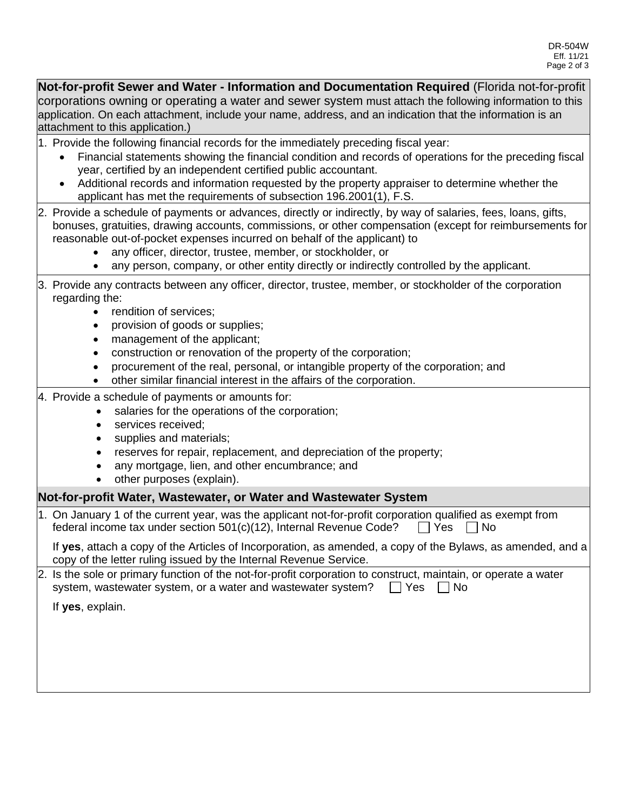**Not-for-profit Sewer and Water - Information and Documentation Required** (Florida not-for-profit corporations owning or operating a water and sewer system must attach the following information to this application. On each attachment, include your name, address, and an indication that the information is an attachment to this application.)

1. Provide the following financial records for the immediately preceding fiscal year:

- Financial statements showing the financial condition and records of operations for the preceding fiscal year, certified by an independent certified public accountant.
- Additional records and information requested by the property appraiser to determine whether the applicant has met the requirements of subsection 196.2001(1), F.S.
- 2. Provide a schedule of payments or advances, directly or indirectly, by way of salaries, fees, loans, gifts, bonuses, gratuities, drawing accounts, commissions, or other compensation (except for reimbursements for reasonable out-of-pocket expenses incurred on behalf of the applicant) to
	- any officer, director, trustee, member, or stockholder, or
	- any person, company, or other entity directly or indirectly controlled by the applicant.
- 3. Provide any contracts between any officer, director, trustee, member, or stockholder of the corporation regarding the:
	- rendition of services:
	- provision of goods or supplies;
	- management of the applicant;
	- construction or renovation of the property of the corporation;
	- procurement of the real, personal, or intangible property of the corporation; and
	- other similar financial interest in the affairs of the corporation.
- 4. Provide a schedule of payments or amounts for:
	- salaries for the operations of the corporation;
	- services received:
	- supplies and materials;
	- reserves for repair, replacement, and depreciation of the property;
	- any mortgage, lien, and other encumbrance; and
	- other purposes (explain).

## **Not-for-profit Water, Wastewater, or Water and Wastewater System**

| 1. On January 1 of the current year, was the applicant not-for-profit corporation qualified as exempt from |
|------------------------------------------------------------------------------------------------------------|
| □ Yes □ No<br>federal income tax under section 501(c)(12), Internal Revenue Code?                          |

If **yes**, attach a copy of the Articles of Incorporation, as amended, a copy of the Bylaws, as amended, and a copy of the letter ruling issued by the Internal Revenue Service.

| 2. Is the sole or primary function of the not-for-profit corporation to construct, maintain, or operate a water |  |  |
|-----------------------------------------------------------------------------------------------------------------|--|--|
| system, wastewater system, or a water and wastewater system? $\Box$ Yes $\Box$ No                               |  |  |

If **yes**, explain.